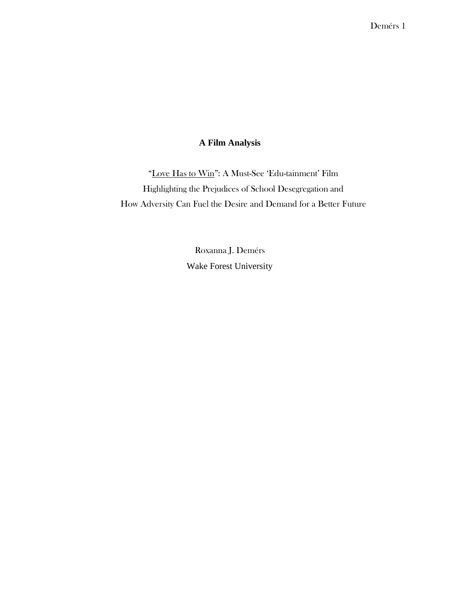## **A Film Analysis**

"Love Has to Win": A Must-See 'Edu-tainment' Film Highlighting the Prejudices of School Desegregation and How Adversity Can Fuel the Desire and Demand for a Better Future

> Roxanna J. Demérs Wake Forest University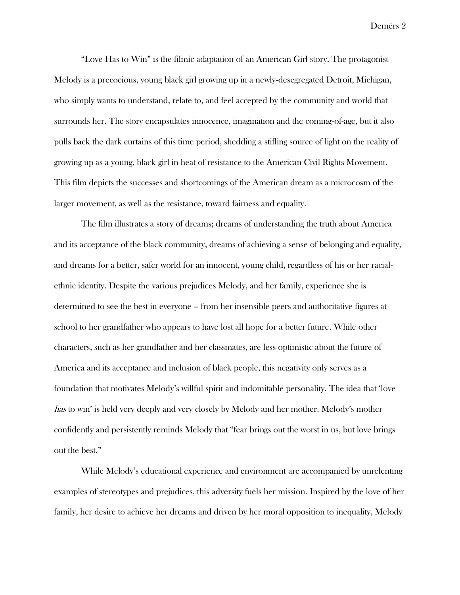"Love Has to Win" is the filmic adaptation of an American Girl story. The protagonist Melody is a precocious, young black girl growing up in a newly-desegregated Detroit, Michigan, who simply wants to understand, relate to, and feel accepted by the community and world that surrounds her. The story encapsulates innocence, imagination and the coming-of-age, but it also pulls back the dark curtains of this time period, shedding a stifling source of light on the reality of growing up as a young, black girl in heat of resistance to the American Civil Rights Movement. This film depicts the successes and shortcomings of the American dream as a microcosm of the larger movement, as well as the resistance, toward fairness and equality.

The film illustrates a story of dreams; dreams of understanding the truth about America and its acceptance of the black community, dreams of achieving a sense of belonging and equality, and dreams for a better, safer world for an innocent, young child, regardless of his or her racialethnic identity. Despite the various prejudices Melody, and her family, experience she is determined to see the best in everyone -- from her insensible peers and authoritative figures at school to her grandfather who appears to have lost all hope for a better future. While other characters, such as her grandfather and her classmates, are less optimistic about the future of America and its acceptance and inclusion of black people, this negativity only serves as a foundation that motivates Melody's willful spirit and indomitable personality. The idea that 'love has to win' is held very deeply and very closely by Melody and her mother. Melody's mother confidently and persistently reminds Melody that "fear brings out the worst in us, but love brings out the best."

While Melody's educational experience and environment are accompanied by unrelenting examples of stereotypes and prejudices, this adversity fuels her mission. Inspired by the love of her family, her desire to achieve her dreams and driven by her moral opposition to inequality, Melody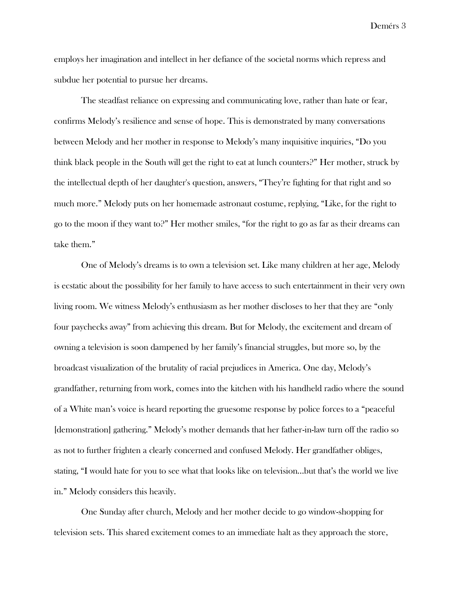employs her imagination and intellect in her defiance of the societal norms which repress and subdue her potential to pursue her dreams.

The steadfast reliance on expressing and communicating love, rather than hate or fear, confirms Melody's resilience and sense of hope. This is demonstrated by many conversations between Melody and her mother in response to Melody's many inquisitive inquiries, "Do you think black people in the South will get the right to eat at lunch counters?" Her mother, struck by the intellectual depth of her daughter's question, answers, "They're fighting for that right and so much more." Melody puts on her homemade astronaut costume, replying, "Like, for the right to go to the moon if they want to?" Her mother smiles, "for the right to go as far as their dreams can take them."

One of Melody's dreams is to own a television set. Like many children at her age, Melody is ecstatic about the possibility for her family to have access to such entertainment in their very own living room. We witness Melody's enthusiasm as her mother discloses to her that they are "only four paychecks away" from achieving this dream. But for Melody, the excitement and dream of owning a television is soon dampened by her family's financial struggles, but more so, by the broadcast visualization of the brutality of racial prejudices in America. One day, Melody's grandfather, returning from work, comes into the kitchen with his handheld radio where the sound of a White man's voice is heard reporting the gruesome response by police forces to a "peaceful [demonstration] gathering." Melody's mother demands that her father-in-law turn off the radio so as not to further frighten a clearly concerned and confused Melody. Her grandfather obliges, stating, "I would hate for you to see what that looks like on television...but that's the world we live in." Melody considers this heavily.

One Sunday after church, Melody and her mother decide to go window-shopping for television sets. This shared excitement comes to an immediate halt as they approach the store,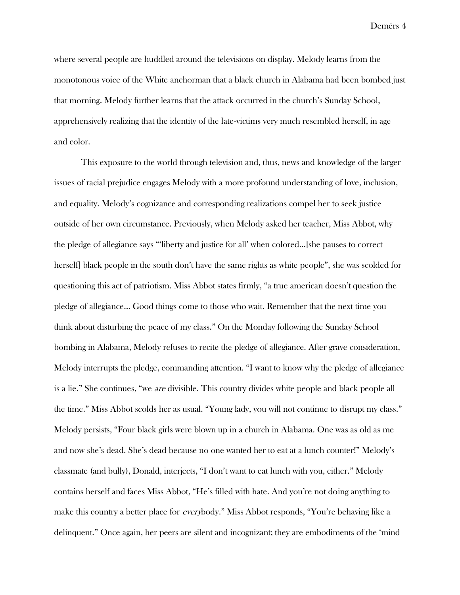where several people are huddled around the televisions on display. Melody learns from the monotonous voice of the White anchorman that a black church in Alabama had been bombed just that morning. Melody further learns that the attack occurred in the church's Sunday School, apprehensively realizing that the identity of the late-victims very much resembled herself, in age and color.

This exposure to the world through television and, thus, news and knowledge of the larger issues of racial prejudice engages Melody with a more profound understanding of love, inclusion, and equality. Melody's cognizance and corresponding realizations compel her to seek justice outside of her own circumstance. Previously, when Melody asked her teacher, Miss Abbot, why the pledge of allegiance says "'liberty and justice for all' when colored…[she pauses to correct herself] black people in the south don't have the same rights as white people", she was scolded for questioning this act of patriotism. Miss Abbot states firmly, "a true american doesn't question the pledge of allegiance… Good things come to those who wait. Remember that the next time you think about disturbing the peace of my class." On the Monday following the Sunday School bombing in Alabama, Melody refuses to recite the pledge of allegiance. After grave consideration, Melody interrupts the pledge, commanding attention. "I want to know why the pledge of allegiance is a lie." She continues, "we are divisible. This country divides white people and black people all the time." Miss Abbot scolds her as usual. "Young lady, you will not continue to disrupt my class." Melody persists, "Four black girls were blown up in a church in Alabama. One was as old as me and now she's dead. She's dead because no one wanted her to eat at a lunch counter!" Melody's classmate (and bully), Donald, interjects, "I don't want to eat lunch with you, either." Melody contains herself and faces Miss Abbot, "He's filled with hate. And you're not doing anything to make this country a better place for *everybody.*" Miss Abbot responds, "You're behaving like a delinquent." Once again, her peers are silent and incognizant; they are embodiments of the 'mind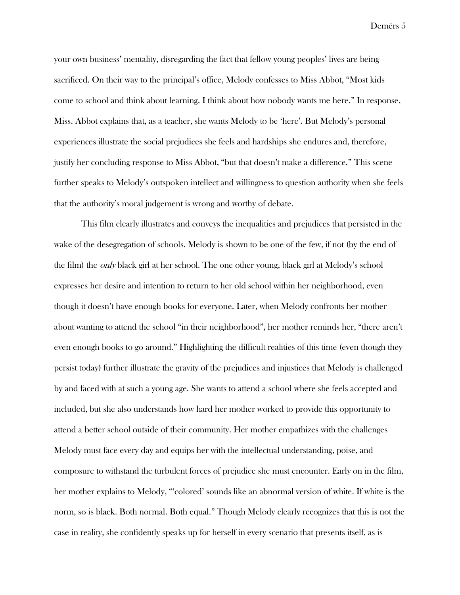your own business' mentality, disregarding the fact that fellow young peoples' lives are being sacrificed. On their way to the principal's office, Melody confesses to Miss Abbot, "Most kids come to school and think about learning. I think about how nobody wants me here." In response, Miss. Abbot explains that, as a teacher, she wants Melody to be 'here'. But Melody's personal experiences illustrate the social prejudices she feels and hardships she endures and, therefore, justify her concluding response to Miss Abbot, "but that doesn't make a difference." This scene further speaks to Melody's outspoken intellect and willingness to question authority when she feels that the authority's moral judgement is wrong and worthy of debate.

This film clearly illustrates and conveys the inequalities and prejudices that persisted in the wake of the desegregation of schools. Melody is shown to be one of the few, if not (by the end of the film) the *only* black girl at her school. The one other young, black girl at Melody's school expresses her desire and intention to return to her old school within her neighborhood, even though it doesn't have enough books for everyone. Later, when Melody confronts her mother about wanting to attend the school "in their neighborhood", her mother reminds her, "there aren't even enough books to go around." Highlighting the difficult realities of this time (even though they persist today) further illustrate the gravity of the prejudices and injustices that Melody is challenged by and faced with at such a young age. She wants to attend a school where she feels accepted and included, but she also understands how hard her mother worked to provide this opportunity to attend a better school outside of their community. Her mother empathizes with the challenges Melody must face every day and equips her with the intellectual understanding, poise, and composure to withstand the turbulent forces of prejudice she must encounter. Early on in the film, her mother explains to Melody, "'colored' sounds like an abnormal version of white. If white is the norm, so is black. Both normal. Both equal." Though Melody clearly recognizes that this is not the case in reality, she confidently speaks up for herself in every scenario that presents itself, as is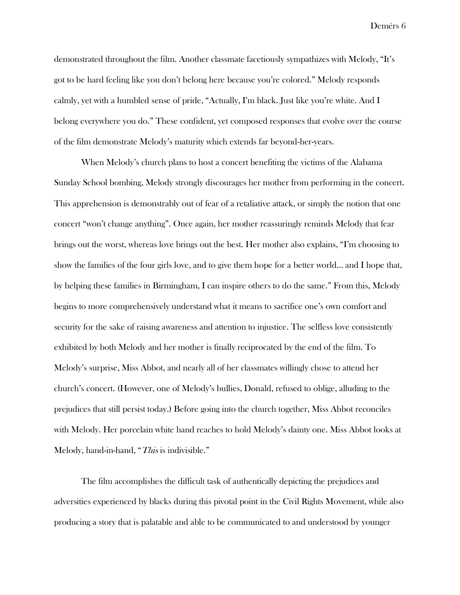demonstrated throughout the film. Another classmate facetiously sympathizes with Melody, "It's got to be hard feeling like you don't belong here because you're colored." Melody responds calmly, yet with a humbled sense of pride, "Actually, I'm black. Just like you're white. And I belong everywhere you do." These confident, yet composed responses that evolve over the course of the film demonstrate Melody's maturity which extends far beyond-her-years.

When Melody's church plans to host a concert benefiting the victims of the Alabama Sunday School bombing, Melody strongly discourages her mother from performing in the concert. This apprehension is demonstrably out of fear of a retaliative attack, or simply the notion that one concert "won't change anything". Once again, her mother reassuringly reminds Melody that fear brings out the worst, whereas love brings out the best. Her mother also explains, "I'm choosing to show the families of the four girls love, and to give them hope for a better world… and I hope that, by helping these families in Birmingham, I can inspire others to do the same." From this, Melody begins to more comprehensively understand what it means to sacrifice one's own comfort and security for the sake of raising awareness and attention to injustice. The selfless love consistently exhibited by both Melody and her mother is finally reciprocated by the end of the film. To Melody's surprise, Miss Abbot, and nearly all of her classmates willingly chose to attend her church's concert. (However, one of Melody's bullies, Donald, refused to oblige, alluding to the prejudices that still persist today.) Before going into the church together, Miss Abbot reconciles with Melody. Her porcelain white hand reaches to hold Melody's dainty one. Miss Abbot looks at Melody, hand-in-hand, "This is indivisible."

The film accomplishes the difficult task of authentically depicting the prejudices and adversities experienced by blacks during this pivotal point in the Civil Rights Movement, while also producing a story that is palatable and able to be communicated to and understood by younger